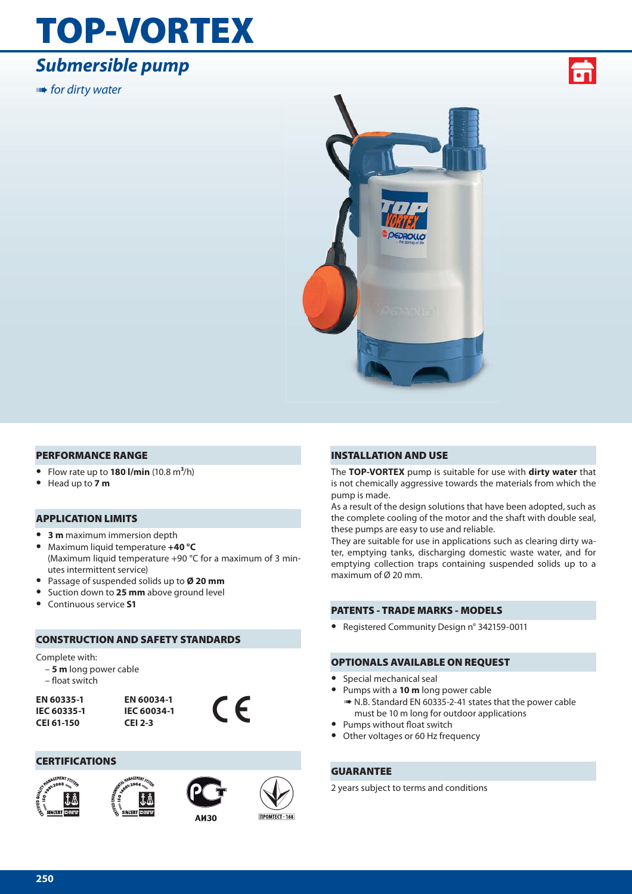## **TOP-VORTEX**

## *Submersible pump*

**IIIII+** for dirty water





#### **PERFORMANCE RANGE**

- **•** Flow rate up to **180 l/min** (10.8 m**3**/h)
- **•** Head up to **7 m**

#### **APPLICATION LIMITS**

- **• 3 m** maximum immersion depth
- **•** Maximum liquid temperature **+40 °C** (Maximum liquid temperature +90 °C for a maximum of 3 minutes intermittent service)
- **•** Passage of suspended solids up to **Ø 20 mm**
- **•** Suction down to **25 mm** above ground level
- **•** Continuous service **S1**

#### **CONSTRUCTION AND SAFETY STANDARDS**

#### Complete with:

- **5 m** long power cable
- float switch

**EN 60335-1 IEC 60335-1 CEI 61-150**



#### **CERTIFICATIONS**







**AU30** 

 $\epsilon$ 

#### **INSTALLATION AND USE**

The **TOP-VORTEX** pump is suitable for use with **dirty water** that is not chemically aggressive towards the materials from which the pump is made.

As a result of the design solutions that have been adopted, such as the complete cooling of the motor and the shaft with double seal, these pumps are easy to use and reliable.

They are suitable for use in applications such as clearing dirty water, emptying tanks, discharging domestic waste water, and for emptying collection traps containing suspended solids up to a maximum of Ø 20 mm.

#### **PATENTS - TRADE MARKS - MODELS**

**•** Registered Community Design n° 342159-0011

#### **OPTIONALS AVAILABLE ON REQUEST**

- **•** Special mechanical seal
- **•** Pumps with a **10 m** long power cable ➠ N.B. Standard EN 60335-2-41 states that the power cable
- must be 10 m long for outdoor applications
- Pumps without float switch
- **•** Other voltages or 60 Hz frequency

#### **GUARANTEE**

2 years subject to terms and conditions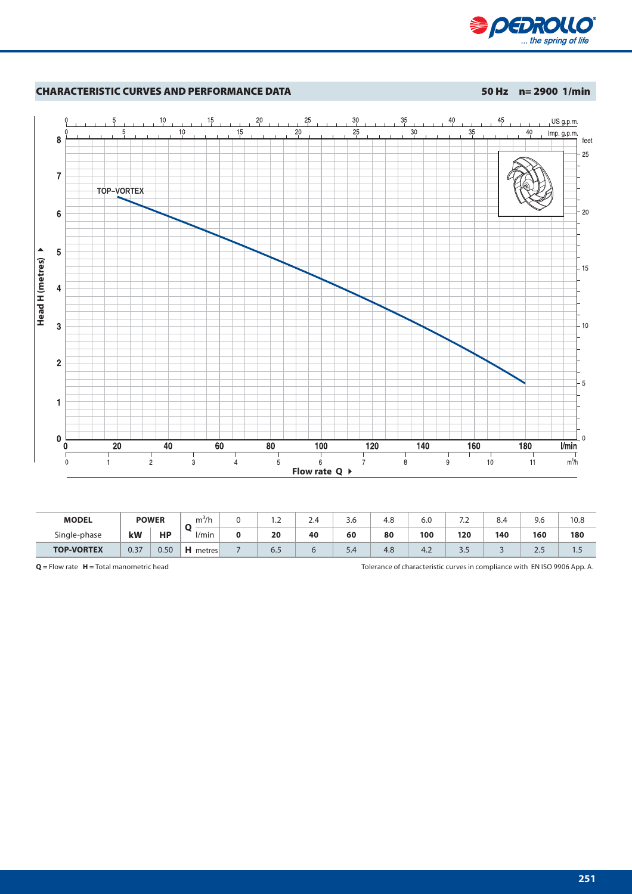



| <b>MODEL</b>      | <b>POWER</b> |           | 3.,<br>m <sup>2</sup> /h | $\cdot$ | ∽<br>2.4 | 3.O | $\Omega$<br>4.C | 6.0           | $\cdot$ | 8.4 | 9.0    | 10.8 |
|-------------------|--------------|-----------|--------------------------|---------|----------|-----|-----------------|---------------|---------|-----|--------|------|
| Single-phase      | kW           | <b>HP</b> | l/min                    | 20      | 40       | 60  | 80              | 100           | 120     | 140 | 160    | 180  |
| <b>TOP-VORTEX</b> | 0.37         | 0.50      | н<br>metres              | 6.5     |          | 5.4 | 4.8             | $\sim$<br>4.2 | ر.ر     |     | $\sim$ | ا    |

**Q** = Flow rate **H** = Total manometric head Tolerance of characteristic curves in compliance with EN ISO 9906 App. A.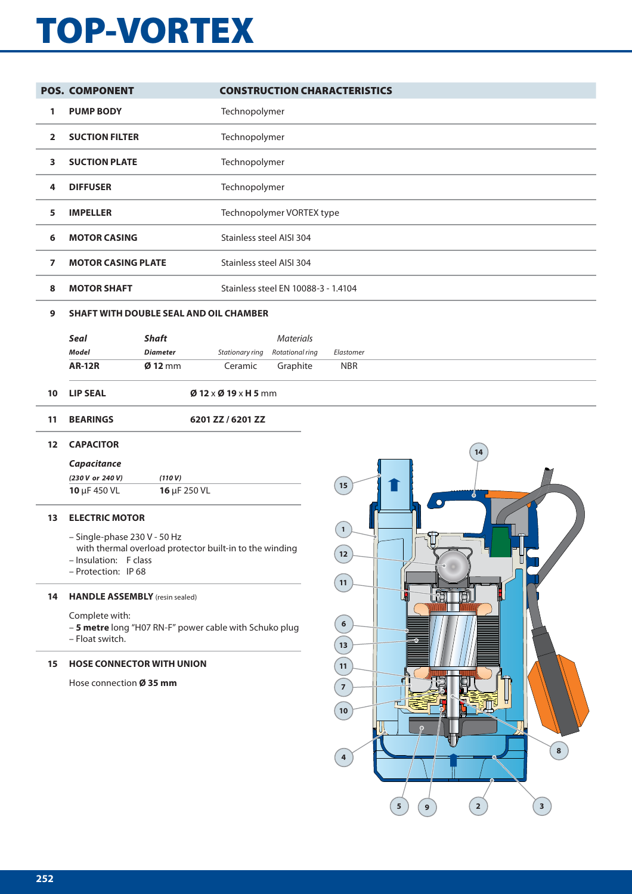# **TOP-VORTEX**

|                   | <b>POS. COMPONENT</b>                 |                 |                                                         | <b>CONSTRUCTION CHARACTERISTICS</b> |              |   |    |  |
|-------------------|---------------------------------------|-----------------|---------------------------------------------------------|-------------------------------------|--------------|---|----|--|
| 1                 | <b>PUMP BODY</b>                      |                 | Technopolymer                                           |                                     |              |   |    |  |
| $\overline{2}$    | <b>SUCTION FILTER</b>                 |                 | Technopolymer                                           |                                     |              |   |    |  |
| 3                 | <b>SUCTION PLATE</b>                  |                 | Technopolymer                                           |                                     |              |   |    |  |
| 4                 | <b>DIFFUSER</b>                       |                 | Technopolymer                                           |                                     |              |   |    |  |
| 5                 | <b>IMPELLER</b>                       |                 |                                                         | Technopolymer VORTEX type           |              |   |    |  |
| 6                 | <b>MOTOR CASING</b>                   |                 | Stainless steel AISI 304                                |                                     |              |   |    |  |
| $\overline{ }$    | <b>MOTOR CASING PLATE</b>             |                 | Stainless steel AISI 304                                |                                     |              |   |    |  |
| 8                 | <b>MOTOR SHAFT</b>                    |                 |                                                         | Stainless steel EN 10088-3 - 1.4104 |              |   |    |  |
| 9                 |                                       |                 | <b>SHAFT WITH DOUBLE SEAL AND OIL CHAMBER</b>           |                                     |              |   |    |  |
|                   | Seal                                  | <b>Shaft</b>    |                                                         | <b>Materials</b>                    |              |   |    |  |
|                   | <b>Model</b>                          | <b>Diameter</b> | Stationary ring                                         | Rotational ring                     | Elastomer    |   |    |  |
|                   | <b>AR-12R</b>                         | $Ø$ 12 mm       | Ceramic                                                 | Graphite                            | <b>NBR</b>   |   |    |  |
| 10                | <b>LIP SEAL</b>                       |                 | $\emptyset$ 12 x $\emptyset$ 19 x H 5 mm                |                                     |              |   |    |  |
| 11                | <b>BEARINGS</b>                       |                 | 6201 ZZ / 6201 ZZ                                       |                                     |              |   |    |  |
| $12 \overline{ }$ | <b>CAPACITOR</b>                      |                 |                                                         |                                     |              |   | 14 |  |
|                   | Capacitance                           |                 |                                                         |                                     |              |   |    |  |
|                   | (230 V or 240 V)                      | (110 V)         |                                                         |                                     |              |   |    |  |
|                   | 10 µF 450 VL                          | 16 µF 250 VL    |                                                         |                                     | 15           |   | Ж  |  |
| 13                | <b>ELECTRIC MOTOR</b>                 |                 |                                                         |                                     |              |   |    |  |
|                   | - Single-phase 230 V - 50 Hz          |                 |                                                         |                                     | $\mathbf{1}$ |   |    |  |
|                   |                                       |                 | with thermal overload protector built-in to the winding |                                     | $\boxed{12}$ |   |    |  |
|                   | - Insulation: F class                 |                 |                                                         |                                     |              |   |    |  |
|                   | - Protection: IP 68                   |                 |                                                         |                                     | 11           |   |    |  |
| 14                | <b>HANDLE ASSEMBLY</b> (resin sealed) |                 |                                                         |                                     |              | Ñ |    |  |

Complete with:

– **5 metre** long "H07 RN-F" power cable with Schuko plug – Float switch.

#### **15 HOSE CONNECTOR WITH UNION**

Hose connection **Ø 35 mm**